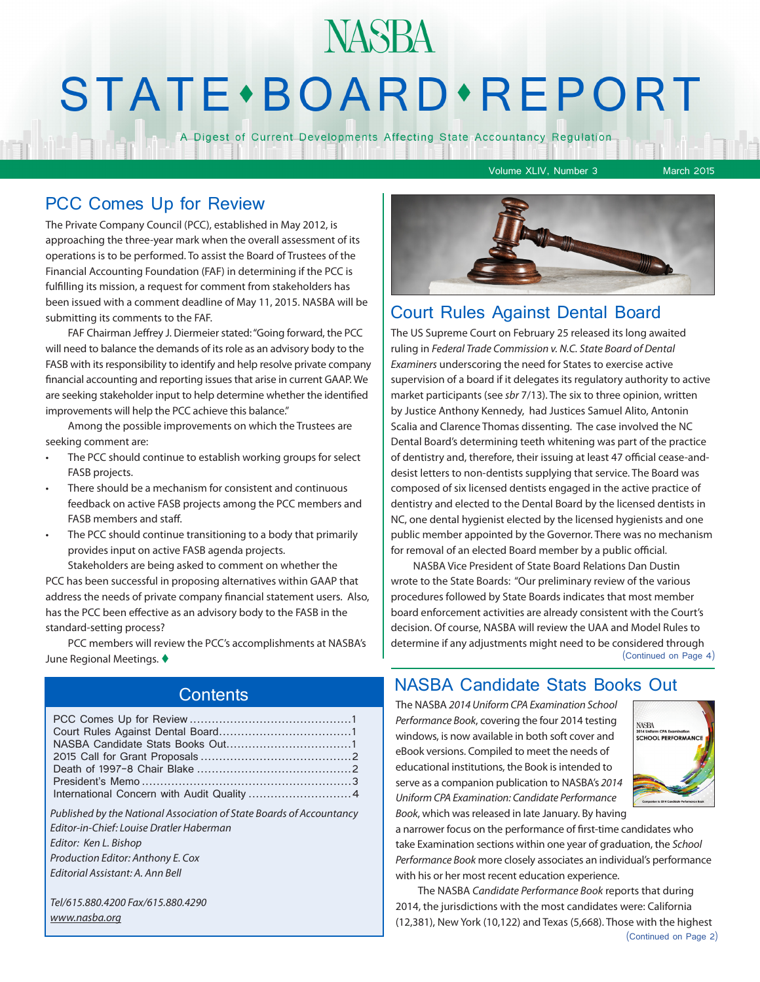# **NASBA STATE** · BOARD · REPORT

A Digest of Current Developments Affecting State Accountancy Regulation

Volume XLIV, Number 3 March 2015

### PCC Comes Up for Review

The Private Company Council (PCC), established in May 2012, is approaching the three-year mark when the overall assessment of its operations is to be performed. To assist the Board of Trustees of the Financial Accounting Foundation (FAF) in determining if the PCC is fulfilling its mission, a request for comment from stakeholders has been issued with a comment deadline of May 11, 2015. NASBA will be submitting its comments to the FAF.

FAF Chairman Jeffrey J. Diermeier stated: "Going forward, the PCC will need to balance the demands of its role as an advisory body to the FASB with its responsibility to identify and help resolve private company financial accounting and reporting issues that arise in current GAAP. We are seeking stakeholder input to help determine whether the identified improvements will help the PCC achieve this balance."

Among the possible improvements on which the Trustees are seeking comment are:

- The PCC should continue to establish working groups for select FASB projects.
- There should be a mechanism for consistent and continuous feedback on active FASB projects among the PCC members and FASB members and staff.
- The PCC should continue transitioning to a body that primarily provides input on active FASB agenda projects.

Stakeholders are being asked to comment on whether the PCC has been successful in proposing alternatives within GAAP that address the needs of private company financial statement users. Also, has the PCC been effective as an advisory body to the FASB in the standard-setting process?

PCC members will review the PCC's accomplishments at NASBA's June Regional Meetings.  $\blacklozenge$ 

### Court Rules Against Dental Board

The US Supreme Court on February 25 released its long awaited ruling in *Federal Trade Commission v. N.C. State Board of Dental Examiners* underscoring the need for States to exercise active supervision of a board if it delegates its regulatory authority to active market participants (see *sbr* 7/13). The six to three opinion, written by Justice Anthony Kennedy, had Justices Samuel Alito, Antonin Scalia and Clarence Thomas dissenting. The case involved the NC Dental Board's determining teeth whitening was part of the practice of dentistry and, therefore, their issuing at least 47 official cease-anddesist letters to non-dentists supplying that service. The Board was composed of six licensed dentists engaged in the active practice of dentistry and elected to the Dental Board by the licensed dentists in NC, one dental hygienist elected by the licensed hygienists and one public member appointed by the Governor. There was no mechanism for removal of an elected Board member by a public official.

NASBA Vice President of State Board Relations Dan Dustin wrote to the State Boards: "Our preliminary review of the various procedures followed by State Boards indicates that most member board enforcement activities are already consistent with the Court's decision. Of course, NASBA will review the UAA and Model Rules to determine if any adjustments might need to be considered through (Continued on Page 4)

#### **Contents**

*Published by the National Association of State Boards of Accountancy Editor-in-Chief: Louise Dratler Haberman Editor: Ken L. Bishop Production Editor: Anthony E. Cox Editorial Assistant: A. Ann Bell* 

*Tel/615.880.4200 Fax/615.880.4290 www.nasba.org*

#### NASBA Candidate Stats Books Out

The NASBA *2014 Uniform CPA Examination School Performance Book*, covering the four 2014 testing windows, is now available in both soft cover and eBook versions. Compiled to meet the needs of educational institutions, the Book is intended to serve as a companion publication to NASBA's *2014 Uniform CPA Examination: Candidate Performance Book*, which was released in late January. By having



a narrower focus on the performance of first-time candidates who take Examination sections within one year of graduation, the *School Performance Book* more closely associates an individual's performance with his or her most recent education experience.

(Continued on Page 2) The NASBA *Candidate Performance Book* reports that during 2014, the jurisdictions with the most candidates were: California (12,381), New York (10,122) and Texas (5,668). Those with the highest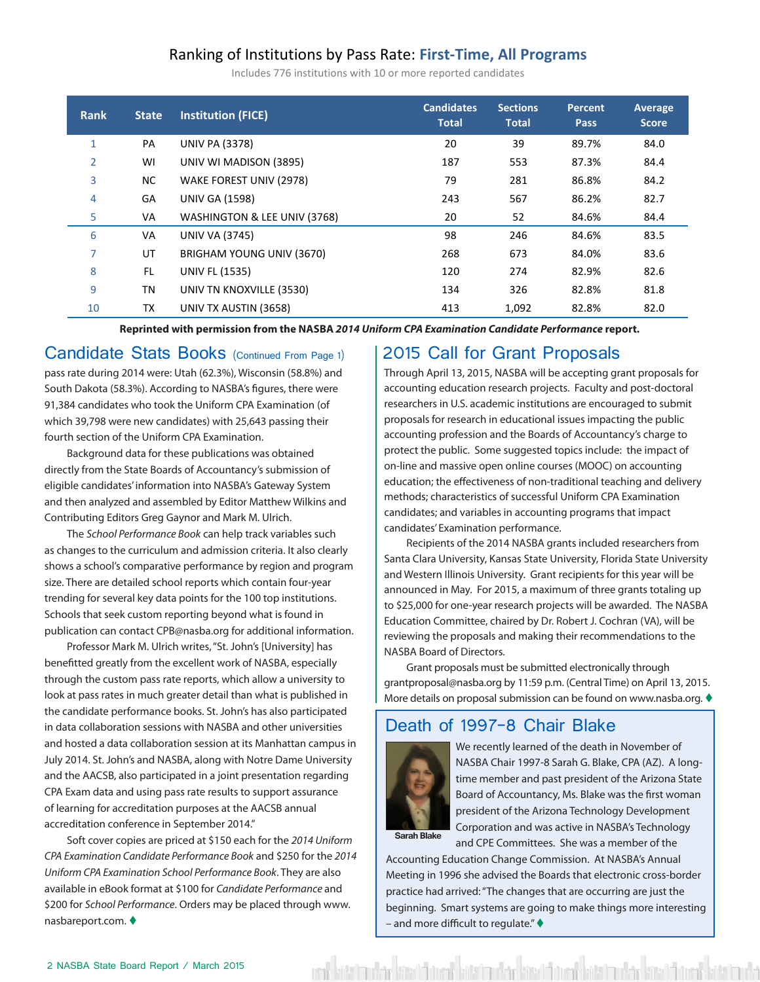#### Ranking of Institutions by Pass Rate: **First-Time, All Programs**

Includes 776 institutions with 10 or more reported candidates

| <b>Rank</b>  | <b>State</b> | <b>Institution (FICE)</b>    | <b>Candidates</b><br><b>Total</b> | <b>Sections</b><br><b>Total</b> | Percent<br><b>Pass</b> | Average<br><b>Score</b> |
|--------------|--------------|------------------------------|-----------------------------------|---------------------------------|------------------------|-------------------------|
| $\mathbf{1}$ | PA           | <b>UNIV PA (3378)</b>        | 20                                | 39                              | 89.7%                  | 84.0                    |
| 2            | WI           | UNIV WI MADISON (3895)       | 187                               | 553                             | 87.3%                  | 84.4                    |
| 3            | NC.          | WAKE FOREST UNIV (2978)      | 79                                | 281                             | 86.8%                  | 84.2                    |
| 4            | GA           | <b>UNIV GA (1598)</b>        | 243                               | 567                             | 86.2%                  | 82.7                    |
| 5            | VA           | WASHINGTON & LEE UNIV (3768) | 20                                | 52                              | 84.6%                  | 84.4                    |
| 6            | VA           | <b>UNIV VA (3745)</b>        | 98                                | 246                             | 84.6%                  | 83.5                    |
| 7            | UT           | BRIGHAM YOUNG UNIV (3670)    | 268                               | 673                             | 84.0%                  | 83.6                    |
| 8            | FL.          | <b>UNIV FL (1535)</b>        | 120                               | 274                             | 82.9%                  | 82.6                    |
| 9            | ΤN           | UNIV TN KNOXVILLE (3530)     | 134                               | 326                             | 82.8%                  | 81.8                    |
| 10           | TX           | UNIV TX AUSTIN (3658)        | 413                               | 1,092                           | 82.8%                  | 82.0                    |

Reprinted with permission from the NASBA 2014 Uniform CPA Examination Candidate Performance report.

pass rate during 2014 were: Utah (62.3%), Wisconsin (58.8%) and South Dakota (58.3%). According to NASBA's figures, there were 91,384 candidates who took the Uniform CPA Examination (of which 39,798 were new candidates) with 25,643 passing their fourth section of the Uniform CPA Examination.

directly from the State Boards of Accountancy's submission of **19 MO DIA COLLUMBIA (25) 163 ACCOUN** On account eligible candidates' information into NASBA's Gateway System and then analyzed and assembled by Editor Matthew Wilkins and Contributing Editors Greg Gaynor and Mark M. Ulrich.

The *School Performance Book* can help track variables such candidates' Examination performance. as changes to the curriculum and admission criteria. It also clearly and the collection of the 2014 NASBA grants included researche shows a school's comparative performance by region and program and the comparative substitution of the state of the state of the state of the state of the state of the state of the state of the state of the state of the st size. There are detailed school reports which contain four-year **25 OH CENARVILLE UNIVERSITY CONTAINING** trending for several key data points for the 100 top institutions. Schools that seek custom reporting beyond what is found in publication can contact CPB@nasba.org for additional information.

Professor Mark M. Ulrich writes, "St. John's [University] has benefitted greatly from the excellent work of NASBA, especially and the context of Directors.<br>Crant proposals must be submitted electronically through through the custom pass rate reports, which allow a university to and proposal must be submitted electronically<br>30 architecture on the United States on April  $\frac{3}{2}$  look at pass rates in much greater detail than what is published in  $\frac{3}{2}$  More details on proposal submission can be found on www.pa the candidate performance books. St. John's has also participated **College College Control (1270) 26 61 76.1** COL in data collaboration sessions with NASBA and other universities  $\Box$  Death of 1997-8 Chair Blake and hosted a data collaboration session at its Manhattan campus in July 2014. St. John's and NASBA, along with Notre Dame University and the AACSB, also participated in a joint presentation regarding CPA Exam data and using pass rate results to support assurance and passurance and past president of the Arizo of learning for accreditation purposes at the AACSB annual and the Maria Court of the Arizona Technology Develop accreditation conference in September 2014." 38 MN HAMLINE UNIV (2354) 11 35 74.3% 77.2 ed a data collaboration session at its Manhattan campus in the state of the death in November of . St. John's and NASBA, along with Notre Dame University Research MASBA Chair 1997-8 Sarah G. Blake, CPA (AZ). A long-

Soft cover copies are priced at \$150 each for the 2014 Uniform **Sarah Blake** and CPF Committees. She was a member of t *CPA Examination Candidate Performance Book* and \$250 for the *2014 Uniform CPA Examination School Performance Book*. They are also available in eBook format at \$100 for *Candidate Performance* and \$200 for *School Performance*. Orders may be placed through www. nasbareport.com. ♦

#### Candidate Stats Books (Continued From Page 1) | 2015 Call for Grant Proposals 2015 Call for Grant Proposals

Background data for these publications was obtained **Example 2** Protect the public. Some suggested topics include: the impa divided to the Discourse Daminus of the Egony<br>Through April 13, 2015, NASBA will be accepting grant proposals for accounting education research projects. Faculty and post-doctoral<br>Research projects. Faculty and post-doctoral ndidates who took the Uniform CPA Examination (of **the searchers in U.S. academic institutions are encouraged to submit** 798 were new candidates) with 25.643 passing their proposals for research in educational issues impacting the public ction of the Uniform CPA Examination. **Example 17 Conserverse Conserversion** and the Boards of Accountancy's charge to andidates information filto typiscal collections of successful Uniform CPA Examination 21 and assembled by Editor Matthew Change and Candidates; and variables in accounting programs that impact protect the public. Some suggested topics include: the impact of on-line and massive open online courses (MOOC) on accounting education; the effectiveness of non-traditional teaching and delivery candidates' Examination performance.

for several key data points for the 100 top institutions.  $\vert$  to \$25,000 for one-year research projects will be awarded. The NASBA nat seek custom reporting beyond what is found in **Education Committee, chaired by Dr. Robert J. Cochran (VA)**, will be rican contact crib in abandong for additional information. Previewing the proposals and making their recommendations to the Recipients of the 2014 NASBA grants included researchers from Santa Clara University, Kansas State University, Florida State University and Western Illinois University. Grant recipients for this year will be announced in May. For 2015, a maximum of three grants totaling up NASBA Board of Directors.

> Grant proposals must be submitted electronically through grantproposal@nasba.org by 11:59 p.m. (Central Time) on April 13, 2015. More details on proposal submission can be found on www.nasba.org.  $\blacklozenge$

#### Death of 1997-8 Chair Blake



time member and past president of the Arizona State Board of Accountancy, Ms. Blake was the first woman president of the Arizona Technology Development Corporation and was active in NASBA's Technology and CPE Committees. She was a member of the

*ination Candidate Performance Book* and \$250 for the 2014 **Accounting Education Change Commission.** At NASBA's Annual Meeting in 1996 she advised the Boards that electronic cross-border practice had arrived: "The changes that are occurring are just the beginning. Smart systems are going to make things more interesting – and more difficult to regulate." $\blacklozenge$ 

فاستناقها أنمين أتستأ وفاستنا فانتشأ أنميت أتلمس أمفاست تعنينا أنمين أتستنا وأستنا أنفير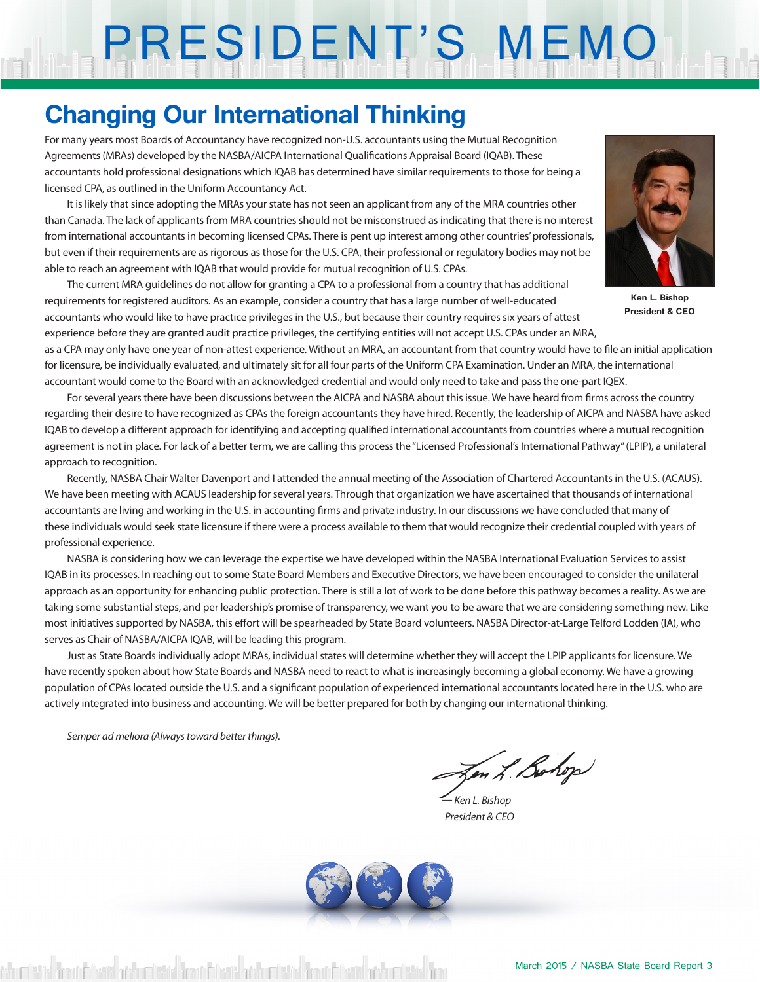# PRESIDENT'S MEMO

## **Changing Our International Thinking**

For many years most Boards of Accountancy have recognized non-U.S. accountants using the Mutual Recognition Agreements (MRAs) developed by the NASBA/AICPA International Qualifications Appraisal Board (IQAB). These accountants hold professional designations which IQAB has determined have similar requirements to those for being a licensed CPA, as outlined in the Uniform Accountancy Act.

It is likely that since adopting the MRAs your state has not seen an applicant from any of the MRA countries other than Canada. The lack of applicants from MRA countries should not be misconstrued as indicating that there is no interest from international accountants in becoming licensed CPAs. There is pent up interest among other countries' professionals, but even if their requirements are as rigorous as those for the U.S. CPA, their professional or regulatory bodies may not be able to reach an agreement with IQAB that would provide for mutual recognition of U.S. CPAs.

The current MRA guidelines do not allow for granting a CPA to a professional from a country that has additional requirements for registered auditors. As an example, consider a country that has a large number of well-educated accountants who would like to have practice privileges in the U.S., but because their country requires six years of attest experience before they are granted audit practice privileges, the certifying entities will not accept U.S. CPAs under an MRA,



**Ken L. Bishop President & CEO**

as a CPA may only have one year of non-attest experience. Without an MRA, an accountant from that country would have to file an initial application for licensure, be individually evaluated, and ultimately sit for all four parts of the Uniform CPA Examination. Under an MRA, the international accountant would come to the Board with an acknowledged credential and would only need to take and pass the one-part IQEX.

For several years there have been discussions between the AICPA and NASBA about this issue. We have heard from firms across the country regarding their desire to have recognized as CPAs the foreign accountants they have hired. Recently, the leadership of AICPA and NASBA have asked IQAB to develop a different approach for identifying and accepting qualified international accountants from countries where a mutual recognition agreement is not in place. For lack of a better term, we are calling this process the "Licensed Professional's International Pathway" (LPIP), a unilateral approach to recognition.

Recently, NASBA Chair Walter Davenport and I attended the annual meeting of the Association of Chartered Accountants in the U.S. (ACAUS). We have been meeting with ACAUS leadership for several years. Through that organization we have ascertained that thousands of international accountants are living and working in the U.S. in accounting firms and private industry. In our discussions we have concluded that many of these individuals would seek state licensure if there were a process available to them that would recognize their credential coupled with years of professional experience.

NASBA is considering how we can leverage the expertise we have developed within the NASBA International Evaluation Services to assist IQAB in its processes. In reaching out to some State Board Members and Executive Directors, we have been encouraged to consider the unilateral approach as an opportunity for enhancing public protection. There is still a lot of work to be done before this pathway becomes a reality. As we are taking some substantial steps, and per leadership's promise of transparency, we want you to be aware that we are considering something new. Like most initiatives supported by NASBA, this effort will be spearheaded by State Board volunteers. NASBA Director-at-Large Telford Lodden (IA), who serves as Chair of NASBA/AICPA IQAB, will be leading this program.

Just as State Boards individually adopt MRAs, individual states will determine whether they will accept the LPIP applicants for licensure. We have recently spoken about how State Boards and NASBA need to react to what is increasingly becoming a global economy. We have a growing population of CPAs located outside the U.S. and a significant population of experienced international accountants located here in the U.S. who are actively integrated into business and accounting. We will be better prepared for both by changing our international thinking.

*Semper ad meliora (Always toward better things).*

Zen L. Bohop

*— Ken L. Bishop President & CEO*



sh mfetisi İmar Eferik och mfetisi İmar Eferik och mfetisi İmar Eferik och mfetisi İma